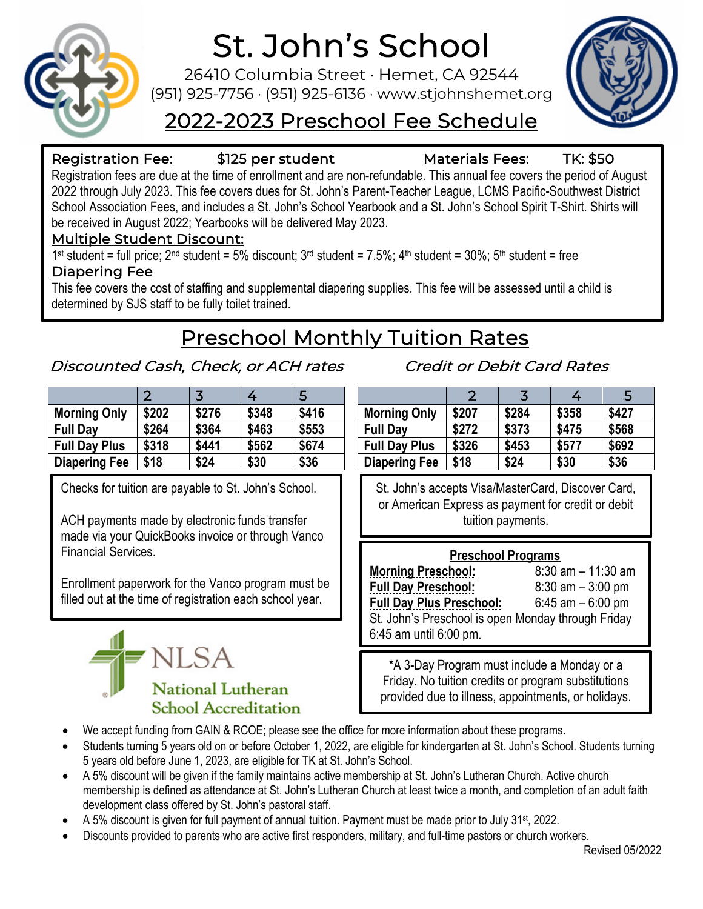

# St. John's School<br>26410 Columbia Street · Hemet, CA 92544

(951) 925-7756 · (951) 925-6136 · www.stjohnshemet.org



# 2022-2023 Preschool Fee Schedule

#### Registration Fee: \$125 per student Materials Fees: TK: \$50

Registration fees are due at the time of enrollment and are non-refundable. This annual fee covers the period of August 2022 through July 2023. This fee covers dues for St. John's Parent-Teacher League, LCMS Pacific-Southwest District School Association Fees, and includes a St. John's School Yearbook and a St. John's School Spirit T-Shirt. Shirts will be received in August 2022; Yearbooks will be delivered May 2023.

## Multiple Student Discount:

1<sup>st</sup> student = full price; 2<sup>nd</sup> student = 5% discount;  $3^{rd}$  student = 7.5%;  $4^{th}$  student = 30%;  $5^{th}$  student = free

#### Diapering Fee

This fee covers the cost of staffing and supplemental diapering supplies. This fee will be assessed until a child is determined by SJS staff to be fully toilet trained.

# Preschool Monthly Tuition Rates

## Discounted Cash, Check, or ACH rates

|                      | 2     | 3     | 4     | 5     |
|----------------------|-------|-------|-------|-------|
| <b>Morning Only</b>  | \$202 | \$276 | \$348 | \$416 |
| <b>Full Day</b>      | \$264 | \$364 | \$463 | \$553 |
| <b>Full Day Plus</b> | \$318 | \$441 | \$562 | \$674 |
| <b>Diapering Fee</b> | \$18  | \$24  | \$30  | \$36  |

Checks for tuition are payable to St. John's School.

ACH payments made by electronic funds transfer made via your QuickBooks invoice or through Vanco Financial Services.

Enrollment paperwork for the Vanco program must be filled out at the time of registration each school year.



# Credit or Debit Card Rates

|                      | 2     | 3     | 4     | 5     |
|----------------------|-------|-------|-------|-------|
| <b>Morning Only</b>  | \$207 | \$284 | \$358 | \$427 |
| <b>Full Day</b>      | \$272 | \$373 | \$475 | \$568 |
| <b>Full Day Plus</b> | \$326 | \$453 | \$577 | \$692 |
| <b>Diapering Fee</b> | \$18  | \$24  | \$30  | \$36  |

St. John's accepts Visa/MasterCard, Discover Card, or American Express as payment for credit or debit tuition payments.

#### **Preschool Programs**

| <b>Morning Preschool:</b>                          | $8:30$ am $-11:30$ am |  |  |  |
|----------------------------------------------------|-----------------------|--|--|--|
| <b>Full Day Preschool:</b>                         | $8:30$ am $-3:00$ pm  |  |  |  |
| <b>Full Day Plus Preschool:</b>                    | $6:45$ am $-6:00$ pm  |  |  |  |
| St. John's Preschool is open Monday through Friday |                       |  |  |  |
| 6:45 am until 6:00 pm.                             |                       |  |  |  |

\*A 3-Day Program must include a Monday or a Friday. No tuition credits or program substitutions provided due to illness, appointments, or holidays.

- We accept funding from GAIN & RCOE; please see the office for more information about these programs.
- Students turning 5 years old on or before October 1, 2022, are eligible for kindergarten at St. John's School. Students turning 5 years old before June 1, 2023, are eligible for TK at St. John's School.
- A 5% discount will be given if the family maintains active membership at St. John's Lutheran Church. Active church membership is defined as attendance at St. John's Lutheran Church at least twice a month, and completion of an adult faith development class offered by St. John's pastoral staff.
- A 5% discount is given for full payment of annual tuition. Payment must be made prior to July 31st, 2022.
- Discounts provided to parents who are active first responders, military, and full-time pastors or church workers.